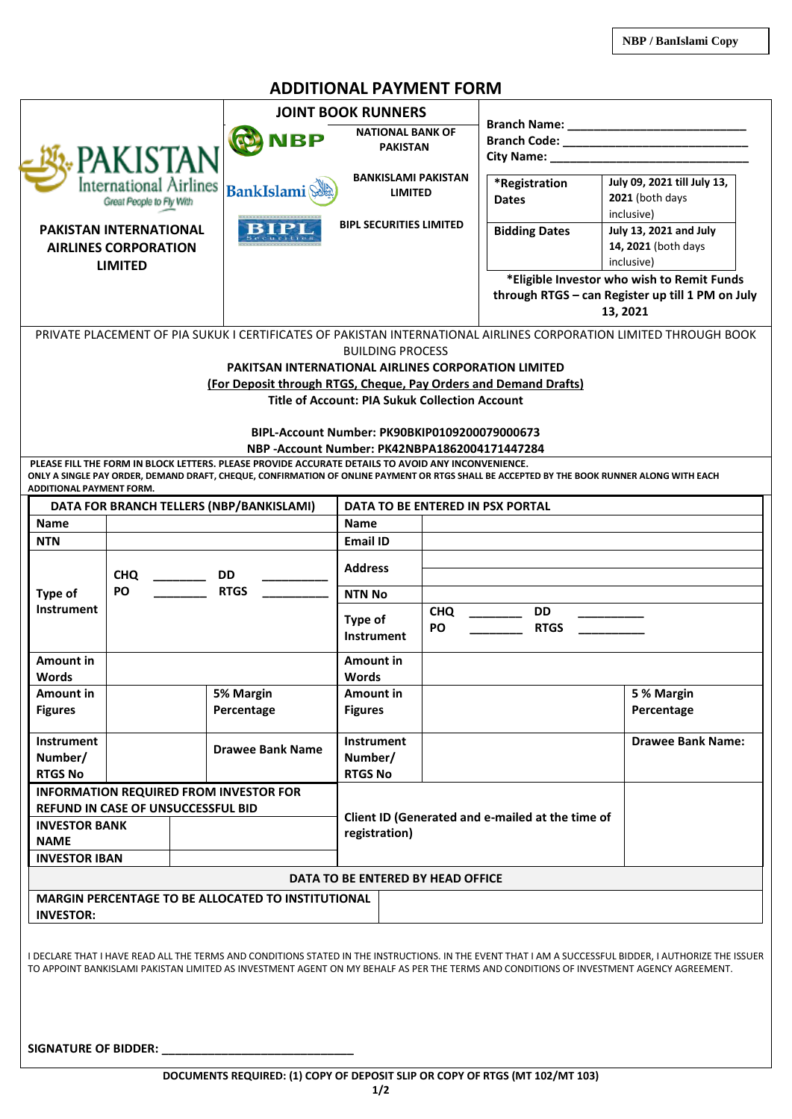## **ADDITIONAL PAYMENT FORM**

|                                                                                  |                |                          | <b>JOINT BOOK RUNNERS</b>                                                                          |                                                                                                                              |                  |                                                                                                                                            |                                                                                                                                                        |  |  |
|----------------------------------------------------------------------------------|----------------|--------------------------|----------------------------------------------------------------------------------------------------|------------------------------------------------------------------------------------------------------------------------------|------------------|--------------------------------------------------------------------------------------------------------------------------------------------|--------------------------------------------------------------------------------------------------------------------------------------------------------|--|--|
| <b>PAKISTAN</b><br>International Airlines<br>Great People to Fly With            |                |                          |                                                                                                    | <b>NATIONAL BANK OF</b><br><b>PAKISTAN</b><br><b>BANKISLAMI PAKISTAN</b><br><b>LIMITED</b><br><b>BIPL SECURITIES LIMITED</b> |                  |                                                                                                                                            |                                                                                                                                                        |  |  |
|                                                                                  |                |                          | (P) NBP                                                                                            |                                                                                                                              |                  |                                                                                                                                            |                                                                                                                                                        |  |  |
|                                                                                  |                |                          |                                                                                                    |                                                                                                                              |                  |                                                                                                                                            |                                                                                                                                                        |  |  |
|                                                                                  |                |                          | <b>BankIslami</b>                                                                                  |                                                                                                                              |                  | *Registration<br><b>Dates</b>                                                                                                              | July 09, 2021 till July 13,<br>2021 (both days<br>inclusive)                                                                                           |  |  |
| <b>PAKISTAN INTERNATIONAL</b><br><b>AIRLINES CORPORATION</b>                     |                |                          |                                                                                                    |                                                                                                                              |                  | <b>Bidding Dates</b>                                                                                                                       | July 13, 2021 and July<br>14, 2021 (both days<br>inclusive)                                                                                            |  |  |
|                                                                                  | <b>LIMITED</b> |                          |                                                                                                    |                                                                                                                              |                  | *Eligible Investor who wish to Remit Funds                                                                                                 |                                                                                                                                                        |  |  |
|                                                                                  |                |                          |                                                                                                    |                                                                                                                              |                  | through RTGS - can Register up till 1 PM on July<br>13, 2021                                                                               |                                                                                                                                                        |  |  |
|                                                                                  |                |                          |                                                                                                    | PRIVATE PLACEMENT OF PIA SUKUK I CERTIFICATES OF PAKISTAN INTERNATIONAL AIRLINES CORPORATION LIMITED THROUGH BOOK            |                  |                                                                                                                                            |                                                                                                                                                        |  |  |
|                                                                                  |                |                          |                                                                                                    | <b>BUILDING PROCESS</b>                                                                                                      |                  |                                                                                                                                            |                                                                                                                                                        |  |  |
|                                                                                  |                |                          | <b>PAKITSAN INTERNATIONAL AIRLINES CORPORATION LIMITED</b>                                         |                                                                                                                              |                  |                                                                                                                                            |                                                                                                                                                        |  |  |
|                                                                                  |                |                          | (For Deposit through RTGS, Cheque, Pay Orders and Demand Drafts)                                   | <b>Title of Account: PIA Sukuk Collection Account</b>                                                                        |                  |                                                                                                                                            |                                                                                                                                                        |  |  |
|                                                                                  |                |                          |                                                                                                    |                                                                                                                              |                  |                                                                                                                                            |                                                                                                                                                        |  |  |
|                                                                                  |                |                          |                                                                                                    | BIPL-Account Number: PK90BKIP0109200079000673                                                                                |                  |                                                                                                                                            |                                                                                                                                                        |  |  |
|                                                                                  |                |                          |                                                                                                    | NBP -Account Number: PK42NBPA1862004171447284                                                                                |                  |                                                                                                                                            |                                                                                                                                                        |  |  |
|                                                                                  |                |                          | PLEASE FILL THE FORM IN BLOCK LETTERS. PLEASE PROVIDE ACCURATE DETAILS TO AVOID ANY INCONVENIENCE. |                                                                                                                              |                  |                                                                                                                                            |                                                                                                                                                        |  |  |
| ADDITIONAL PAYMENT FORM.                                                         |                |                          |                                                                                                    |                                                                                                                              |                  | ONLY A SINGLE PAY ORDER, DEMAND DRAFT, CHEQUE, CONFIRMATION OF ONLINE PAYMENT OR RTGS SHALL BE ACCEPTED BY THE BOOK RUNNER ALONG WITH EACH |                                                                                                                                                        |  |  |
|                                                                                  |                |                          | DATA FOR BRANCH TELLERS (NBP/BANKISLAMI)                                                           | DATA TO BE ENTERED IN PSX PORTAL                                                                                             |                  |                                                                                                                                            |                                                                                                                                                        |  |  |
| <b>Name</b>                                                                      |                |                          |                                                                                                    | <b>Name</b>                                                                                                                  |                  |                                                                                                                                            |                                                                                                                                                        |  |  |
| <b>NTN</b>                                                                       |                |                          |                                                                                                    | <b>Email ID</b>                                                                                                              |                  |                                                                                                                                            |                                                                                                                                                        |  |  |
|                                                                                  | <b>CHQ</b>     | $\overline{\phantom{a}}$ | <b>DD</b>                                                                                          | <b>Address</b>                                                                                                               |                  |                                                                                                                                            |                                                                                                                                                        |  |  |
| Type of                                                                          | PO             |                          | <b>RTGS</b>                                                                                        | <b>NTN No</b>                                                                                                                |                  |                                                                                                                                            |                                                                                                                                                        |  |  |
| <b>Instrument</b>                                                                |                |                          |                                                                                                    | Type of<br>Instrument                                                                                                        | <b>CHQ</b><br>PO | <b>DD</b><br><b>RTGS</b>                                                                                                                   |                                                                                                                                                        |  |  |
|                                                                                  |                |                          |                                                                                                    |                                                                                                                              |                  |                                                                                                                                            |                                                                                                                                                        |  |  |
| <b>Amount in</b>                                                                 |                |                          |                                                                                                    | Amount in                                                                                                                    |                  |                                                                                                                                            |                                                                                                                                                        |  |  |
| Words<br><b>Amount in</b>                                                        |                |                          | 5% Margin                                                                                          | Words                                                                                                                        |                  |                                                                                                                                            | 5 % Margin                                                                                                                                             |  |  |
| <b>Figures</b>                                                                   |                |                          | Percentage                                                                                         | Amount in<br><b>Figures</b>                                                                                                  |                  |                                                                                                                                            | Percentage                                                                                                                                             |  |  |
| <b>Instrument</b><br>Number/                                                     |                |                          | <b>Drawee Bank Name</b>                                                                            | <b>Instrument</b><br>Number/                                                                                                 |                  |                                                                                                                                            | <b>Drawee Bank Name:</b>                                                                                                                               |  |  |
| <b>RTGS No</b>                                                                   |                |                          |                                                                                                    | <b>RTGS No</b>                                                                                                               |                  |                                                                                                                                            |                                                                                                                                                        |  |  |
|                                                                                  |                |                          | <b>INFORMATION REQUIRED FROM INVESTOR FOR</b>                                                      |                                                                                                                              |                  |                                                                                                                                            |                                                                                                                                                        |  |  |
| <b>REFUND IN CASE OF UNSUCCESSFUL BID</b><br><b>INVESTOR BANK</b><br><b>NAME</b> |                |                          |                                                                                                    | registration)                                                                                                                |                  | Client ID (Generated and e-mailed at the time of                                                                                           |                                                                                                                                                        |  |  |
| <b>INVESTOR IBAN</b>                                                             |                |                          |                                                                                                    |                                                                                                                              |                  |                                                                                                                                            |                                                                                                                                                        |  |  |
|                                                                                  |                |                          |                                                                                                    | DATA TO BE ENTERED BY HEAD OFFICE                                                                                            |                  |                                                                                                                                            |                                                                                                                                                        |  |  |
|                                                                                  |                |                          | <b>MARGIN PERCENTAGE TO BE ALLOCATED TO INSTITUTIONAL</b>                                          |                                                                                                                              |                  |                                                                                                                                            |                                                                                                                                                        |  |  |
| <b>INVESTOR:</b>                                                                 |                |                          |                                                                                                    |                                                                                                                              |                  |                                                                                                                                            |                                                                                                                                                        |  |  |
|                                                                                  |                |                          |                                                                                                    |                                                                                                                              |                  | TO APPOINT BANKISLAMI PAKISTAN LIMITED AS INVESTMENT AGENT ON MY BEHALF AS PER THE TERMS AND CONDITIONS OF INVESTMENT AGENCY AGREEMENT.    | I DECLARE THAT I HAVE READ ALL THE TERMS AND CONDITIONS STATED IN THE INSTRUCTIONS. IN THE EVENT THAT I AM A SUCCESSFUL BIDDER, I AUTHORIZE THE ISSUER |  |  |
| <b>SIGNATURE OF BIDDER:</b>                                                      |                |                          |                                                                                                    |                                                                                                                              |                  |                                                                                                                                            |                                                                                                                                                        |  |  |